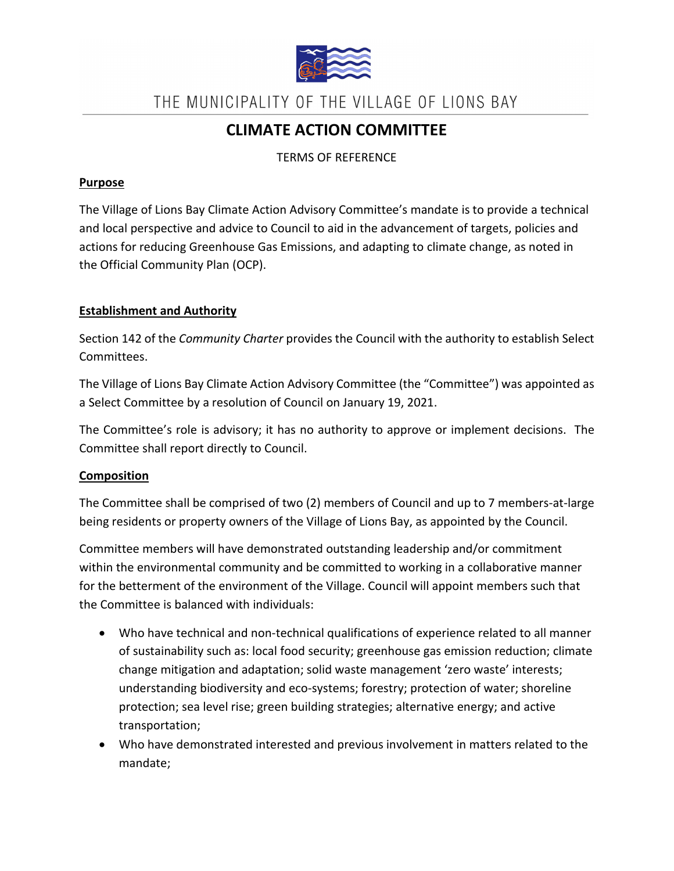

THE MUNICIPALITY OF THE VILLAGE OF LIONS BAY

# **CLIMATE ACTION COMMITTEE**

TERMS OF REFERENCE

## **Purpose**

The Village of Lions Bay Climate Action Advisory Committee's mandate is to provide a technical and local perspective and advice to Council to aid in the advancement of targets, policies and actions for reducing Greenhouse Gas Emissions, and adapting to climate change, as noted in the Official Community Plan (OCP).

# **Establishment and Authority**

Section 142 of the *Community Charter* provides the Council with the authority to establish Select Committees.

The Village of Lions Bay Climate Action Advisory Committee (the "Committee") was appointed as a Select Committee by a resolution of Council on January 19, 2021.

The Committee's role is advisory; it has no authority to approve or implement decisions. The Committee shall report directly to Council.

# **Composition**

The Committee shall be comprised of two (2) members of Council and up to 7 members-at-large being residents or property owners of the Village of Lions Bay, as appointed by the Council.

Committee members will have demonstrated outstanding leadership and/or commitment within the environmental community and be committed to working in a collaborative manner for the betterment of the environment of the Village. Council will appoint members such that the Committee is balanced with individuals:

- Who have technical and non-technical qualifications of experience related to all manner of sustainability such as: local food security; greenhouse gas emission reduction; climate change mitigation and adaptation; solid waste management 'zero waste' interests; understanding biodiversity and eco-systems; forestry; protection of water; shoreline protection; sea level rise; green building strategies; alternative energy; and active transportation;
- Who have demonstrated interested and previous involvement in matters related to the mandate;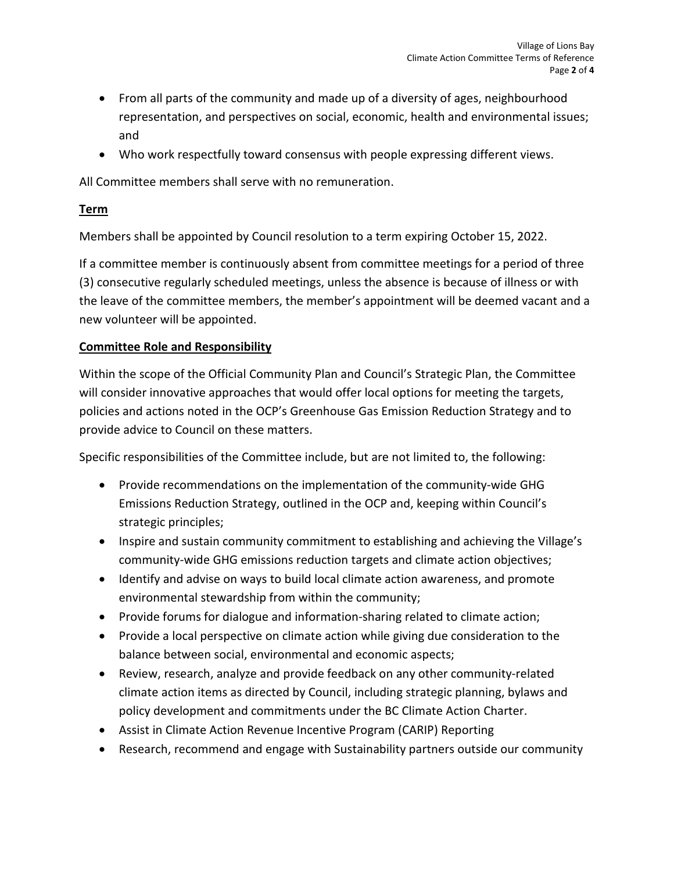- From all parts of the community and made up of a diversity of ages, neighbourhood representation, and perspectives on social, economic, health and environmental issues; and
- Who work respectfully toward consensus with people expressing different views.

All Committee members shall serve with no remuneration.

# **Term**

Members shall be appointed by Council resolution to a term expiring October 15, 2022.

If a committee member is continuously absent from committee meetings for a period of three (3) consecutive regularly scheduled meetings, unless the absence is because of illness or with the leave of the committee members, the member's appointment will be deemed vacant and a new volunteer will be appointed.

# **Committee Role and Responsibility**

Within the scope of the Official Community Plan and Council's Strategic Plan, the Committee will consider innovative approaches that would offer local options for meeting the targets, policies and actions noted in the OCP's Greenhouse Gas Emission Reduction Strategy and to provide advice to Council on these matters.

Specific responsibilities of the Committee include, but are not limited to, the following:

- Provide recommendations on the implementation of the community-wide GHG Emissions Reduction Strategy, outlined in the OCP and, keeping within Council's strategic principles;
- Inspire and sustain community commitment to establishing and achieving the Village's community-wide GHG emissions reduction targets and climate action objectives;
- Identify and advise on ways to build local climate action awareness, and promote environmental stewardship from within the community;
- Provide forums for dialogue and information-sharing related to climate action;
- Provide a local perspective on climate action while giving due consideration to the balance between social, environmental and economic aspects;
- Review, research, analyze and provide feedback on any other community-related climate action items as directed by Council, including strategic planning, bylaws and policy development and commitments under the BC Climate Action Charter.
- Assist in Climate Action Revenue Incentive Program (CARIP) Reporting
- Research, recommend and engage with Sustainability partners outside our community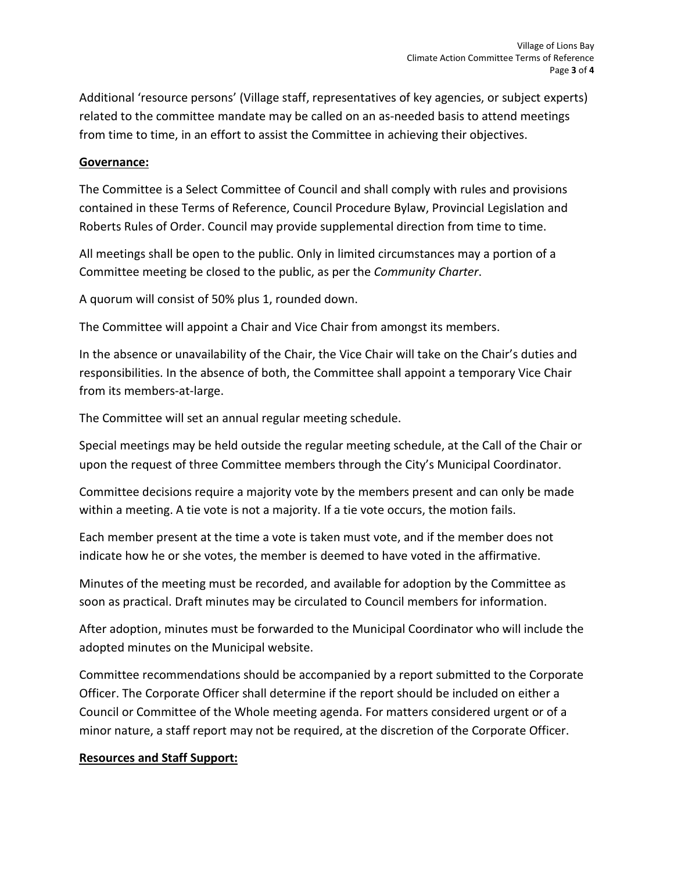Additional 'resource persons' (Village staff, representatives of key agencies, or subject experts) related to the committee mandate may be called on an as-needed basis to attend meetings from time to time, in an effort to assist the Committee in achieving their objectives.

### **Governance:**

The Committee is a Select Committee of Council and shall comply with rules and provisions contained in these Terms of Reference, Council Procedure Bylaw, Provincial Legislation and Roberts Rules of Order. Council may provide supplemental direction from time to time.

All meetings shall be open to the public. Only in limited circumstances may a portion of a Committee meeting be closed to the public, as per the *Community Charter*.

A quorum will consist of 50% plus 1, rounded down.

The Committee will appoint a Chair and Vice Chair from amongst its members.

In the absence or unavailability of the Chair, the Vice Chair will take on the Chair's duties and responsibilities. In the absence of both, the Committee shall appoint a temporary Vice Chair from its members-at-large.

The Committee will set an annual regular meeting schedule.

Special meetings may be held outside the regular meeting schedule, at the Call of the Chair or upon the request of three Committee members through the City's Municipal Coordinator.

Committee decisions require a majority vote by the members present and can only be made within a meeting. A tie vote is not a majority. If a tie vote occurs, the motion fails.

Each member present at the time a vote is taken must vote, and if the member does not indicate how he or she votes, the member is deemed to have voted in the affirmative.

Minutes of the meeting must be recorded, and available for adoption by the Committee as soon as practical. Draft minutes may be circulated to Council members for information.

After adoption, minutes must be forwarded to the Municipal Coordinator who will include the adopted minutes on the Municipal website.

Committee recommendations should be accompanied by a report submitted to the Corporate Officer. The Corporate Officer shall determine if the report should be included on either a Council or Committee of the Whole meeting agenda. For matters considered urgent or of a minor nature, a staff report may not be required, at the discretion of the Corporate Officer.

#### **Resources and Staff Support:**